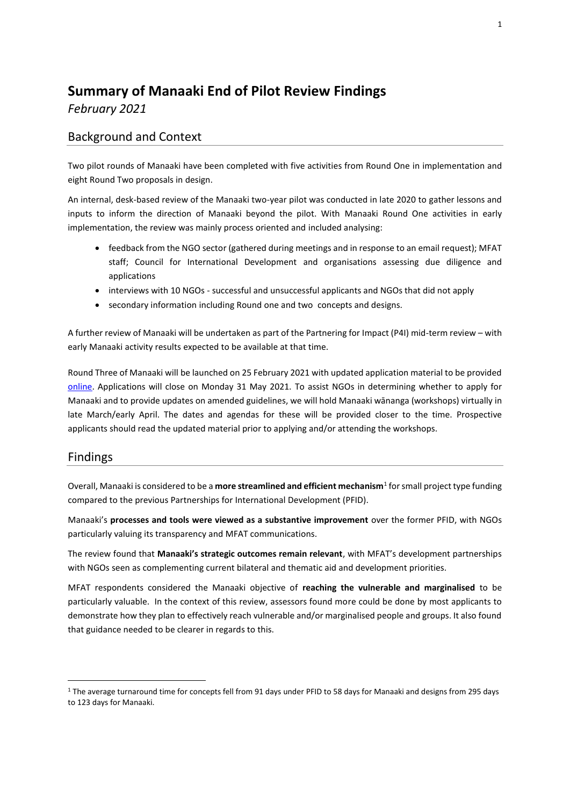# **Summary of Manaaki End of Pilot Review Findings** *February 2021*

# Background and Context

Two pilot rounds of Manaaki have been completed with five activities from Round One in implementation and eight Round Two proposals in design.

An internal, desk-based review of the Manaaki two-year pilot was conducted in late 2020 to gather lessons and inputs to inform the direction of Manaaki beyond the pilot. With Manaaki Round One activities in early implementation, the review was mainly process oriented and included analysing:

- feedback from the NGO sector (gathered during meetings and in response to an email request); MFAT staff; Council for International Development and organisations assessing due diligence and applications
- interviews with 10 NGOs successful and unsuccessful applicants and NGOs that did not apply
- secondary information including Round one and two concepts and designs.

A further review of Manaaki will be undertaken as part of the Partnering for Impact (P4I) mid-term review – with early Manaaki activity results expected to be available at that time.

Round Three of Manaaki will be launched on 25 February 2021 with updated application material to be provided [online.](https://www.mfat.govt.nz/en/aid-and-development/working-with-us/funding-opportunities/partnering-for-impact-2/manaaki/) Applications will close on Monday 31 May 2021. To assist NGOs in determining whether to apply for Manaaki and to provide updates on amended guidelines, we will hold Manaaki wānanga (workshops) virtually in late March/early April. The dates and agendas for these will be provided closer to the time. Prospective applicants should read the updated material prior to applying and/or attending the workshops.

## Findings

 $\overline{a}$ 

Overall, Manaaki is considered to be a **more streamlined and efficient mechanism**<sup>1</sup> for small project type funding compared to the previous Partnerships for International Development (PFID).

Manaaki's **processes and tools were viewed as a substantive improvement** over the former PFID, with NGOs particularly valuing its transparency and MFAT communications.

The review found that **Manaaki's strategic outcomes remain relevant**, with MFAT's development partnerships with NGOs seen as complementing current bilateral and thematic aid and development priorities.

MFAT respondents considered the Manaaki objective of **reaching the vulnerable and marginalised** to be particularly valuable. In the context of this review, assessors found more could be done by most applicants to demonstrate how they plan to effectively reach vulnerable and/or marginalised people and groups. It also found that guidance needed to be clearer in regards to this.

<sup>&</sup>lt;sup>1</sup> The average turnaround time for concepts fell from 91 days under PFID to 58 days for Manaaki and designs from 295 days to 123 days for Manaaki.